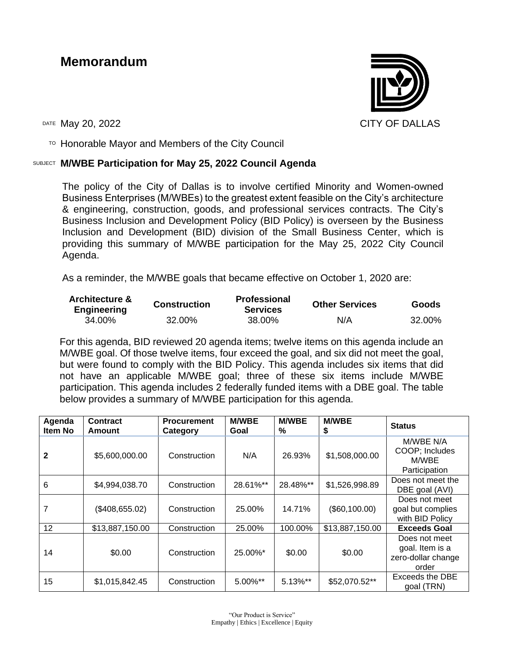# **Memorandum**



TO Honorable Mayor and Members of the City Council

#### SUBJECT **M/WBE Participation for May 25, 2022 Council Agenda**

The policy of the City of Dallas is to involve certified Minority and Women-owned Business Enterprises (M/WBEs) to the greatest extent feasible on the City's architecture & engineering, construction, goods, and professional services contracts. The City's Business Inclusion and Development Policy (BID Policy) is overseen by the Business Inclusion and Development (BID) division of the Small Business Center, which is providing this summary of M/WBE participation for the May 25, 2022 City Council Agenda.

As a reminder, the M/WBE goals that became effective on October 1, 2020 are:

| <b>Architecture &amp;</b><br><b>Engineering</b> | <b>Construction</b> | <b>Professional</b><br><b>Services</b> | <b>Other Services</b> | <b>Goods</b> |
|-------------------------------------------------|---------------------|----------------------------------------|-----------------------|--------------|
| 34.00%                                          | 32.00%              | 38.00%                                 | N/A                   | 32.00%       |

For this agenda, BID reviewed 20 agenda items; twelve items on this agenda include an M/WBE goal. Of those twelve items, four exceed the goal, and six did not meet the goal, but were found to comply with the BID Policy. This agenda includes six items that did not have an applicable M/WBE goal; three of these six items include M/WBE participation. This agenda includes 2 federally funded items with a DBE goal. The table below provides a summary of M/WBE participation for this agenda.

| Agenda<br>Item No | <b>Contract</b><br>Amount | <b>Procurement</b><br>Category | <b>M/WBE</b><br>Goal | <b>M/WBE</b><br>% | <b>M/WBE</b><br>\$ | <b>Status</b>                                                   |
|-------------------|---------------------------|--------------------------------|----------------------|-------------------|--------------------|-----------------------------------------------------------------|
| $\mathbf{2}$      | \$5,600,000.00            | Construction                   | N/A                  | 26.93%            | \$1,508,000.00     | M/WBE N/A<br>COOP; Includes<br>M/WBE<br>Participation           |
| 6                 | \$4,994,038.70            | Construction                   | 28.61%**             | 28.48%**          | \$1,526,998.89     | Does not meet the<br>DBE goal (AVI)                             |
| 7                 | (\$408,655.02)            | Construction                   | 25.00%               | 14.71%            | (\$60,100.00)      | Does not meet<br>goal but complies<br>with BID Policy           |
| 12                | \$13,887,150.00           | Construction                   | 25.00%               | 100.00%           | \$13,887,150.00    | <b>Exceeds Goal</b>                                             |
| 14                | \$0.00                    | Construction                   | 25.00%*              | \$0.00            | \$0.00             | Does not meet<br>goal. Item is a<br>zero-dollar change<br>order |
| 15                | \$1,015,842.45            | Construction                   | $5.00\%$ **          | $5.13\%$ **       | \$52,070.52**      | Exceeds the DBE<br>goal (TRN)                                   |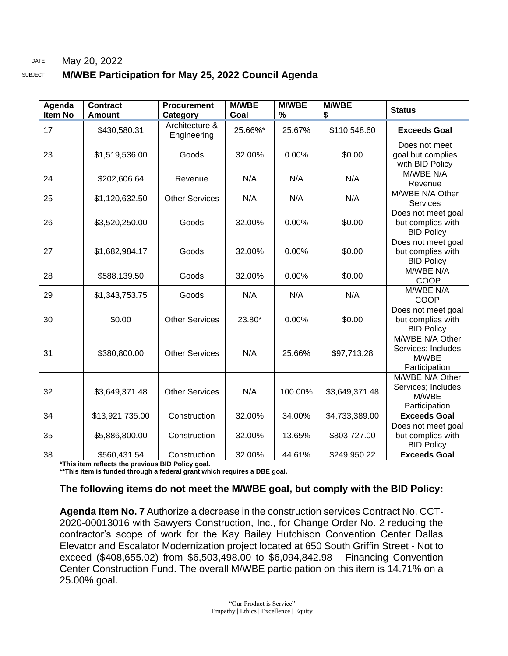#### DATE May 20, 2022

#### SUBJECT **M/WBE Participation for May 25, 2022 Council Agenda**

| Agenda<br><b>Item No</b> | <b>Contract</b><br><b>Amount</b> | <b>Procurement</b><br>Category | <b>M/WBE</b><br>Goal | <b>M/WBE</b><br>$\%$ | <b>M/WBE</b><br>\$ | <b>Status</b>                                                   |
|--------------------------|----------------------------------|--------------------------------|----------------------|----------------------|--------------------|-----------------------------------------------------------------|
| 17                       | \$430,580.31                     | Architecture &<br>Engineering  | 25.66%*              | 25.67%               | \$110,548.60       | <b>Exceeds Goal</b>                                             |
| 23                       | \$1,519,536.00                   | Goods                          | 32.00%               | 0.00%                | \$0.00             | Does not meet<br>goal but complies<br>with BID Policy           |
| 24                       | \$202,606.64                     | Revenue                        | N/A                  | N/A                  | N/A                | M/WBE N/A<br>Revenue                                            |
| 25                       | \$1,120,632.50                   | <b>Other Services</b>          | N/A                  | N/A                  | N/A                | M/WBE N/A Other<br><b>Services</b>                              |
| 26                       | \$3,520,250.00                   | Goods                          | 32.00%               | 0.00%                | \$0.00             | Does not meet goal<br>but complies with<br><b>BID Policy</b>    |
| 27                       | \$1,682,984.17                   | Goods                          | 32.00%               | 0.00%                | \$0.00             | Does not meet goal<br>but complies with<br><b>BID Policy</b>    |
| 28                       | \$588,139.50                     | Goods                          | 32.00%               | 0.00%                | \$0.00             | M/WBE N/A<br>COOP                                               |
| 29                       | \$1,343,753.75                   | Goods                          | N/A                  | N/A                  | N/A                | M/WBE N/A<br><b>COOP</b>                                        |
| 30                       | \$0.00                           | <b>Other Services</b>          | 23.80*               | 0.00%                | \$0.00             | Does not meet goal<br>but complies with<br><b>BID Policy</b>    |
| 31                       | \$380,800.00                     | <b>Other Services</b>          | N/A                  | 25.66%               | \$97,713.28        | M/WBE N/A Other<br>Services; Includes<br>M/WBE<br>Participation |
| 32                       | \$3,649,371.48                   | <b>Other Services</b>          | N/A                  | 100.00%              | \$3,649,371.48     | M/WBE N/A Other<br>Services; Includes<br>M/WBE<br>Participation |
| 34                       | \$13,921,735.00                  | Construction                   | 32.00%               | 34.00%               | \$4,733,389.00     | <b>Exceeds Goal</b>                                             |
| 35                       | \$5,886,800.00                   | Construction                   | 32.00%               | 13.65%               | \$803,727.00       | Does not meet goal<br>but complies with<br><b>BID Policy</b>    |
| 38                       | \$560,431.54                     | Construction                   | 32.00%               | 44.61%               | \$249,950.22       | <b>Exceeds Goal</b>                                             |

**\*This item reflects the previous BID Policy goal.**

**\*\*This item is funded through a federal grant which requires a DBE goal.**

#### **The following items do not meet the M/WBE goal, but comply with the BID Policy:**

**Agenda Item No. 7** Authorize a decrease in the construction services Contract No. CCT-2020-00013016 with Sawyers Construction, Inc., for Change Order No. 2 reducing the contractor's scope of work for the Kay Bailey Hutchison Convention Center Dallas Elevator and Escalator Modernization project located at 650 South Griffin Street - Not to exceed (\$408,655.02) from \$6,503,498.00 to \$6,094,842.98 - Financing Convention Center Construction Fund. The overall M/WBE participation on this item is 14.71% on a 25.00% goal.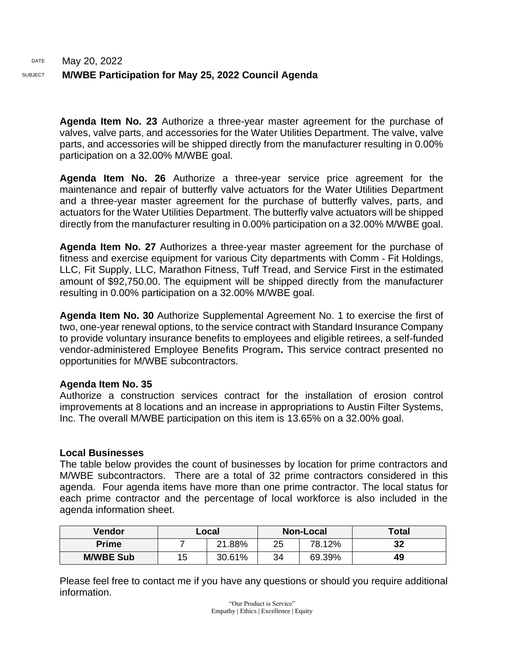#### DATE May 20, 2022 SUBJECT **M/WBE Participation for May 25, 2022 Council Agenda**

**Agenda Item No. 23** Authorize a three-year master agreement for the purchase of valves, valve parts, and accessories for the Water Utilities Department. The valve, valve parts, and accessories will be shipped directly from the manufacturer resulting in 0.00% participation on a 32.00% M/WBE goal.

**Agenda Item No. 26** Authorize a three-year service price agreement for the maintenance and repair of butterfly valve actuators for the Water Utilities Department and a three-year master agreement for the purchase of butterfly valves, parts, and actuators for the Water Utilities Department. The butterfly valve actuators will be shipped directly from the manufacturer resulting in 0.00% participation on a 32.00% M/WBE goal.

**Agenda Item No. 27** Authorizes a three-year master agreement for the purchase of fitness and exercise equipment for various City departments with Comm - Fit Holdings, LLC, Fit Supply, LLC, Marathon Fitness, Tuff Tread, and Service First in the estimated amount of \$92,750.00. The equipment will be shipped directly from the manufacturer resulting in 0.00% participation on a 32.00% M/WBE goal.

**Agenda Item No. 30** Authorize Supplemental Agreement No. 1 to exercise the first of two, one-year renewal options, to the service contract with Standard Insurance Company to provide voluntary insurance benefits to employees and eligible retirees, a self-funded vendor-administered Employee Benefits Program**.** This service contract presented no opportunities for M/WBE subcontractors.

#### **Agenda Item No. 35**

Authorize a construction services contract for the installation of erosion control improvements at 8 locations and an increase in appropriations to Austin Filter Systems, Inc. The overall M/WBE participation on this item is 13.65% on a 32.00% goal.

#### **Local Businesses**

The table below provides the count of businesses by location for prime contractors and M/WBE subcontractors. There are a total of 32 prime contractors considered in this agenda. Four agenda items have more than one prime contractor. The local status for each prime contractor and the percentage of local workforce is also included in the agenda information sheet.

| Vendor           |    | Local  |              | <b>Non-Local</b> | <b>Total</b> |
|------------------|----|--------|--------------|------------------|--------------|
| <b>Prime</b>     |    | 21.88% | 78.12%<br>25 |                  | 32           |
| <b>M/WBE Sub</b> | 15 | 30.61% | 34           | 69.39%           | 49           |

Please feel free to contact me if you have any questions or should you require additional information.

> "Our Product is Service" Empathy | Ethics | Excellence | Equity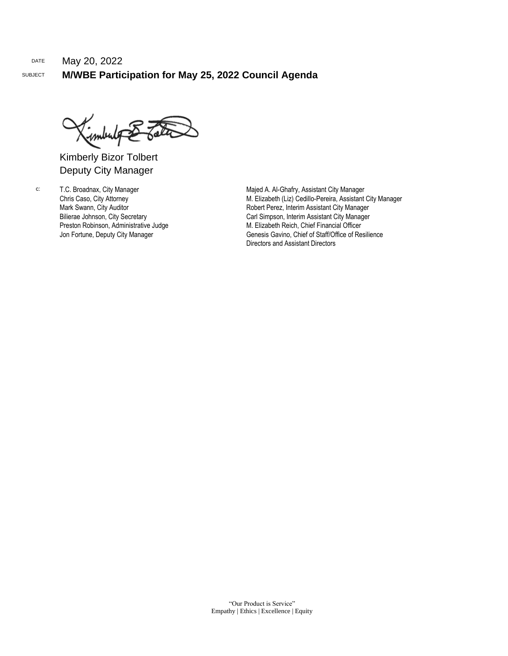Kimberly Bizor Tolbert Deputy City Manager

c: T.C. Broadnax, City Manager Chris Caso, City Attorney Mark Swann, City Auditor Bilierae Johnson, City Secretary Preston Robinson, Administrative Judge Jon Fortune, Deputy City Manager

Majed A. Al-Ghafry, Assistant City Manager M. Elizabeth (Liz) Cedillo-Pereira, Assistant City Manager Robert Perez, Interim Assistant City Manager Carl Simpson, Interim Assistant City Manager M. Elizabeth Reich, Chief Financial Officer Genesis Gavino, Chief of Staff/Office of Resilience Directors and Assistant Directors

"Our Product is Service" Empathy | Ethics | Excellence | Equity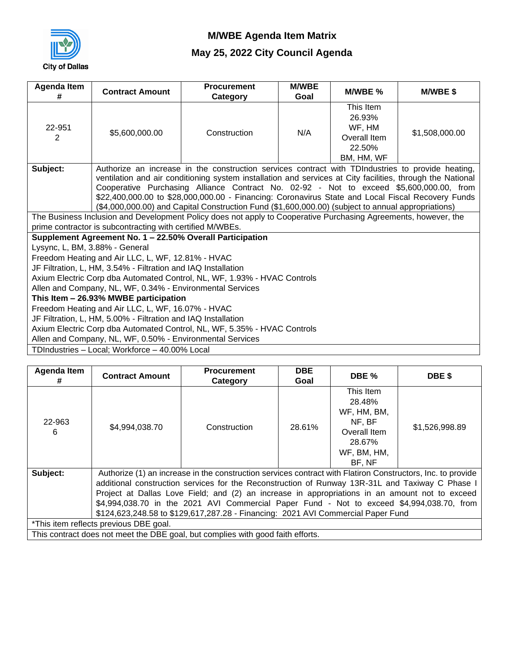

| <b>Agenda Item</b><br>#                                                  | <b>Contract Amount</b>                                        | <b>Procurement</b><br>Category                                                                                  | <b>M/WBE</b><br>Goal | M/WBE %                                                               | <b>M/WBE \$</b> |  |  |  |
|--------------------------------------------------------------------------|---------------------------------------------------------------|-----------------------------------------------------------------------------------------------------------------|----------------------|-----------------------------------------------------------------------|-----------------|--|--|--|
| 22-951<br>2                                                              | \$5,600,000.00                                                | Construction                                                                                                    | N/A                  | This Item<br>26.93%<br>WF, HM<br>Overall Item<br>22.50%<br>BM, HM, WF | \$1,508,000.00  |  |  |  |
| Subject:                                                                 |                                                               | Authorize an increase in the construction services contract with TDIndustries to provide heating,               |                      |                                                                       |                 |  |  |  |
|                                                                          |                                                               | ventilation and air conditioning system installation and services at City facilities, through the National      |                      |                                                                       |                 |  |  |  |
|                                                                          |                                                               | Cooperative Purchasing Alliance Contract No. 02-92 - Not to exceed \$5,600,000.00, from                         |                      |                                                                       |                 |  |  |  |
|                                                                          |                                                               | \$22,400,000.00 to \$28,000,000.00 - Financing: Coronavirus State and Local Fiscal Recovery Funds               |                      |                                                                       |                 |  |  |  |
|                                                                          |                                                               | (\$4,000,000.00) and Capital Construction Fund (\$1,600,000.00) (subject to annual appropriations)              |                      |                                                                       |                 |  |  |  |
|                                                                          | prime contractor is subcontracting with certified M/WBEs.     | The Business Inclusion and Development Policy does not apply to Cooperative Purchasing Agreements, however, the |                      |                                                                       |                 |  |  |  |
|                                                                          | Supplement Agreement No. 1 - 22.50% Overall Participation     |                                                                                                                 |                      |                                                                       |                 |  |  |  |
| Lysync, L, BM, 3.88% - General                                           |                                                               |                                                                                                                 |                      |                                                                       |                 |  |  |  |
|                                                                          | Freedom Heating and Air LLC, L, WF, 12.81% - HVAC             |                                                                                                                 |                      |                                                                       |                 |  |  |  |
|                                                                          | JF Filtration, L, HM, 3.54% - Filtration and IAQ Installation |                                                                                                                 |                      |                                                                       |                 |  |  |  |
|                                                                          |                                                               | Axium Electric Corp dba Automated Control, NL, WF, 1.93% - HVAC Controls                                        |                      |                                                                       |                 |  |  |  |
|                                                                          | Allen and Company, NL, WF, 0.34% - Environmental Services     |                                                                                                                 |                      |                                                                       |                 |  |  |  |
|                                                                          | This Item - 26.93% MWBE participation                         |                                                                                                                 |                      |                                                                       |                 |  |  |  |
|                                                                          | Freedom Heating and Air LLC, L, WF, 16.07% - HVAC             |                                                                                                                 |                      |                                                                       |                 |  |  |  |
| JF Filtration, L, HM, 5.00% - Filtration and IAQ Installation            |                                                               |                                                                                                                 |                      |                                                                       |                 |  |  |  |
| Axium Electric Corp dba Automated Control, NL, WF, 5.35% - HVAC Controls |                                                               |                                                                                                                 |                      |                                                                       |                 |  |  |  |
|                                                                          | Allen and Company, NL, WF, 0.50% - Environmental Services     |                                                                                                                 |                      |                                                                       |                 |  |  |  |
|                                                                          | TDIndustries - Local; Workforce - 40.00% Local                |                                                                                                                 |                      |                                                                       |                 |  |  |  |

| Agenda Item<br>#                                   | <b>Contract Amount</b>                                                                                                                                                                                                                                                                                                                                                                                                                                                                            | <b>Procurement</b><br>Category                                                  | <b>DBE</b><br>Goal | DBE %                                                                                           | DBE \$         |  |  |  |
|----------------------------------------------------|---------------------------------------------------------------------------------------------------------------------------------------------------------------------------------------------------------------------------------------------------------------------------------------------------------------------------------------------------------------------------------------------------------------------------------------------------------------------------------------------------|---------------------------------------------------------------------------------|--------------------|-------------------------------------------------------------------------------------------------|----------------|--|--|--|
| 22-963<br>6                                        | \$4,994,038.70                                                                                                                                                                                                                                                                                                                                                                                                                                                                                    | Construction                                                                    | 28.61%             | This Item<br>28.48%<br>WF, HM, BM,<br>NF, BF<br>Overall Item<br>28.67%<br>WF, BM, HM,<br>BF, NF | \$1,526,998.89 |  |  |  |
| Subject:<br>*This item reflects previous DBE goal. | Authorize (1) an increase in the construction services contract with Flatiron Constructors, Inc. to provide<br>additional construction services for the Reconstruction of Runway 13R-31L and Taxiway C Phase I<br>Project at Dallas Love Field; and (2) an increase in appropriations in an amount not to exceed<br>\$4,994,038.70 in the 2021 AVI Commercial Paper Fund - Not to exceed \$4,994,038.70, from<br>\$124,623,248.58 to \$129,617,287.28 - Financing: 2021 AVI Commercial Paper Fund |                                                                                 |                    |                                                                                                 |                |  |  |  |
|                                                    |                                                                                                                                                                                                                                                                                                                                                                                                                                                                                                   | This contract does not meet the DBE goal, but complies with good faith efforts. |                    |                                                                                                 |                |  |  |  |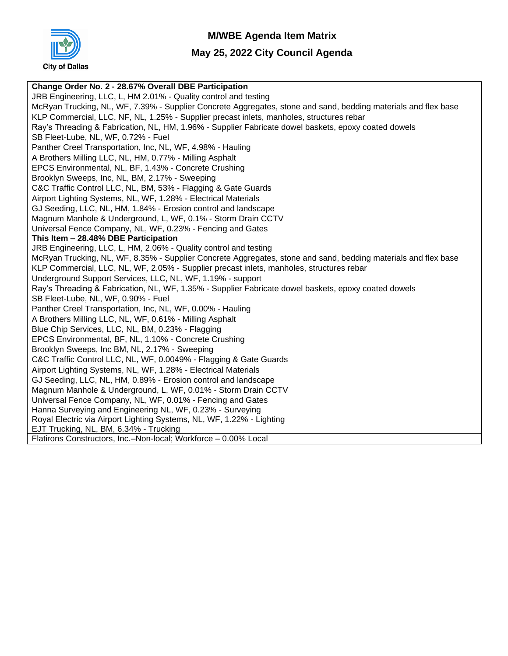

#### **May 25, 2022 City Council Agenda**

**Change Order No. 2 - 28.67% Overall DBE Participation** JRB Engineering, LLC, L, HM 2.01% - Quality control and testing McRyan Trucking, NL, WF, 7.39% - Supplier Concrete Aggregates, stone and sand, bedding materials and flex base KLP Commercial, LLC, NF, NL, 1.25% - Supplier precast inlets, manholes, structures rebar Ray's Threading & Fabrication, NL, HM, 1.96% - Supplier Fabricate dowel baskets, epoxy coated dowels SB Fleet-Lube, NL, WF, 0.72% - Fuel Panther Creel Transportation, Inc, NL, WF, 4.98% - Hauling A Brothers Milling LLC, NL, HM, 0.77% - Milling Asphalt EPCS Environmental, NL, BF, 1.43% - Concrete Crushing Brooklyn Sweeps, Inc, NL, BM, 2.17% - Sweeping C&C Traffic Control LLC, NL, BM, 53% - Flagging & Gate Guards Airport Lighting Systems, NL, WF, 1.28% - Electrical Materials GJ Seeding, LLC, NL, HM, 1.84% - Erosion control and landscape Magnum Manhole & Underground, L, WF, 0.1% - Storm Drain CCTV Universal Fence Company, NL, WF, 0.23% - Fencing and Gates **This Item – 28.48% DBE Participation** JRB Engineering, LLC, L, HM, 2.06% - Quality control and testing McRyan Trucking, NL, WF, 8.35% - Supplier Concrete Aggregates, stone and sand, bedding materials and flex base KLP Commercial, LLC, NL, WF, 2.05% - Supplier precast inlets, manholes, structures rebar Underground Support Services, LLC, NL, WF, 1.19% - support Ray's Threading & Fabrication, NL, WF, 1.35% - Supplier Fabricate dowel baskets, epoxy coated dowels SB Fleet-Lube, NL, WF, 0.90% - Fuel Panther Creel Transportation, Inc, NL, WF, 0.00% - Hauling A Brothers Milling LLC, NL, WF, 0.61% - Milling Asphalt Blue Chip Services, LLC, NL, BM, 0.23% - Flagging EPCS Environmental, BF, NL, 1.10% - Concrete Crushing Brooklyn Sweeps, Inc BM, NL, 2.17% - Sweeping C&C Traffic Control LLC, NL, WF, 0.0049% - Flagging & Gate Guards Airport Lighting Systems, NL, WF, 1.28% - Electrical Materials GJ Seeding, LLC, NL, HM, 0.89% - Erosion control and landscape Magnum Manhole & Underground, L, WF, 0.01% - Storm Drain CCTV Universal Fence Company, NL, WF, 0.01% - Fencing and Gates Hanna Surveying and Engineering NL, WF, 0.23% - Surveying Royal Electric via Airport Lighting Systems, NL, WF, 1.22% - Lighting EJT Trucking, NL, BM, 6.34% - Trucking Flatirons Constructors, Inc.–Non-local; Workforce – 0.00% Local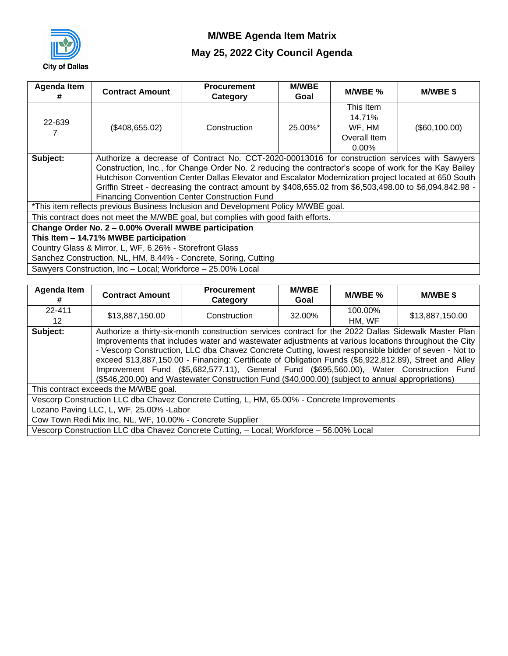

| Agenda Item<br>#                                        | <b>Contract Amount</b>                                                                        | <b>Procurement</b><br>Category                                                                          | <b>M/WBE</b><br>Goal | M/WBE %      | <b>M/WBE \$</b> |  |  |  |
|---------------------------------------------------------|-----------------------------------------------------------------------------------------------|---------------------------------------------------------------------------------------------------------|----------------------|--------------|-----------------|--|--|--|
|                                                         |                                                                                               |                                                                                                         |                      | This Item    |                 |  |  |  |
| 22-639                                                  |                                                                                               |                                                                                                         |                      | 14.71%       |                 |  |  |  |
|                                                         | (\$408,655.02)                                                                                | Construction                                                                                            | 25.00%*              | WF, HM       | (\$60,100.00)   |  |  |  |
|                                                         |                                                                                               |                                                                                                         |                      | Overall Item |                 |  |  |  |
|                                                         |                                                                                               |                                                                                                         |                      | $0.00\%$     |                 |  |  |  |
| Subject:                                                | Authorize a decrease of Contract No. CCT-2020-00013016 for construction services with Sawyers |                                                                                                         |                      |              |                 |  |  |  |
|                                                         |                                                                                               | Construction, Inc., for Change Order No. 2 reducing the contractor's scope of work for the Kay Bailey   |                      |              |                 |  |  |  |
|                                                         |                                                                                               | Hutchison Convention Center Dallas Elevator and Escalator Modernization project located at 650 South    |                      |              |                 |  |  |  |
|                                                         |                                                                                               | Griffin Street - decreasing the contract amount by \$408,655.02 from \$6,503,498.00 to \$6,094,842.98 - |                      |              |                 |  |  |  |
|                                                         |                                                                                               | <b>Financing Convention Center Construction Fund</b>                                                    |                      |              |                 |  |  |  |
|                                                         |                                                                                               | *This item reflects previous Business Inclusion and Development Policy M/WBE goal.                      |                      |              |                 |  |  |  |
|                                                         |                                                                                               | This contract does not meet the M/WBE goal, but complies with good faith efforts.                       |                      |              |                 |  |  |  |
|                                                         | Change Order No. 2 - 0.00% Overall MWBE participation                                         |                                                                                                         |                      |              |                 |  |  |  |
|                                                         | This Item - 14.71% MWBE participation                                                         |                                                                                                         |                      |              |                 |  |  |  |
| Country Glass & Mirror, L, WF, 6.26% - Storefront Glass |                                                                                               |                                                                                                         |                      |              |                 |  |  |  |
|                                                         |                                                                                               | Sanchez Construction, NL, HM, 8.44% - Concrete, Soring, Cutting                                         |                      |              |                 |  |  |  |
|                                                         | Sawyers Construction, Inc - Local; Workforce - 25.00% Local                                   |                                                                                                         |                      |              |                 |  |  |  |

| Agenda Item<br># | <b>Contract Amount</b>                                    | <b>Procurement</b><br>Category                                                                                                                                                                                                                                                                                                                                                                                                                                                                                                                                                                                                | <b>M/WBE</b><br>Goal | M/WBE %           | <b>M/WBE \$</b> |  |  |  |
|------------------|-----------------------------------------------------------|-------------------------------------------------------------------------------------------------------------------------------------------------------------------------------------------------------------------------------------------------------------------------------------------------------------------------------------------------------------------------------------------------------------------------------------------------------------------------------------------------------------------------------------------------------------------------------------------------------------------------------|----------------------|-------------------|-----------------|--|--|--|
| 22-411<br>12     | \$13,887,150.00                                           | Construction                                                                                                                                                                                                                                                                                                                                                                                                                                                                                                                                                                                                                  | 32.00%               | 100.00%<br>HM, WF | \$13,887,150.00 |  |  |  |
| Subject:         |                                                           | Authorize a thirty-six-month construction services contract for the 2022 Dallas Sidewalk Master Plan<br>Improvements that includes water and wastewater adjustments at various locations throughout the City<br>- Vescorp Construction, LLC dba Chavez Concrete Cutting, lowest responsible bidder of seven - Not to<br>exceed \$13,887,150.00 - Financing: Certificate of Obligation Funds (\$6,922,812.89), Street and Alley<br>Improvement Fund (\$5,682,577.11), General Fund (\$695,560.00), Water Construction Fund<br>(\$546,200.00) and Wastewater Construction Fund (\$40,000.00) (subject to annual appropriations) |                      |                   |                 |  |  |  |
|                  | This contract exceeds the M/WBE goal.                     |                                                                                                                                                                                                                                                                                                                                                                                                                                                                                                                                                                                                                               |                      |                   |                 |  |  |  |
|                  |                                                           | Vescorp Construction LLC dba Chavez Concrete Cutting, L, HM, 65.00% - Concrete Improvements                                                                                                                                                                                                                                                                                                                                                                                                                                                                                                                                   |                      |                   |                 |  |  |  |
|                  | Lozano Paving LLC, L, WF, 25.00% - Labor                  |                                                                                                                                                                                                                                                                                                                                                                                                                                                                                                                                                                                                                               |                      |                   |                 |  |  |  |
|                  | Cow Town Redi Mix Inc, NL, WF, 10.00% - Concrete Supplier |                                                                                                                                                                                                                                                                                                                                                                                                                                                                                                                                                                                                                               |                      |                   |                 |  |  |  |
|                  |                                                           | Vescorp Construction LLC dba Chavez Concrete Cutting, - Local; Workforce - 56.00% Local                                                                                                                                                                                                                                                                                                                                                                                                                                                                                                                                       |                      |                   |                 |  |  |  |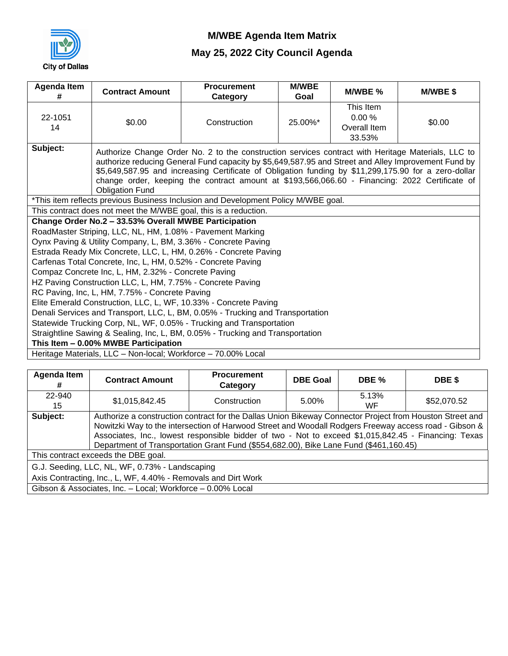

| <b>Agenda Item</b><br>#                                                                                                                                                                                                                                                                                                                                                                                                                                   | <b>Contract Amount</b>                                           | <b>Procurement</b><br>Category                                                     | <b>M/WBE</b><br>Goal | M/WBE %                                      | <b>M/WBE \$</b> |  |  |  |
|-----------------------------------------------------------------------------------------------------------------------------------------------------------------------------------------------------------------------------------------------------------------------------------------------------------------------------------------------------------------------------------------------------------------------------------------------------------|------------------------------------------------------------------|------------------------------------------------------------------------------------|----------------------|----------------------------------------------|-----------------|--|--|--|
| 22-1051<br>14                                                                                                                                                                                                                                                                                                                                                                                                                                             | \$0.00                                                           | Construction                                                                       | 25.00%*              | This Item<br>0.00%<br>Overall Item<br>33.53% | \$0.00          |  |  |  |
| Subject:<br>Authorize Change Order No. 2 to the construction services contract with Heritage Materials, LLC to<br>authorize reducing General Fund capacity by \$5,649,587.95 and Street and Alley Improvement Fund by<br>\$5,649,587.95 and increasing Certificate of Obligation funding by \$11,299,175.90 for a zero-dollar<br>change order, keeping the contract amount at \$193,566,066.60 - Financing: 2022 Certificate of<br><b>Obligation Fund</b> |                                                                  |                                                                                    |                      |                                              |                 |  |  |  |
|                                                                                                                                                                                                                                                                                                                                                                                                                                                           |                                                                  | *This item reflects previous Business Inclusion and Development Policy M/WBE goal. |                      |                                              |                 |  |  |  |
|                                                                                                                                                                                                                                                                                                                                                                                                                                                           | This contract does not meet the M/WBE goal, this is a reduction. |                                                                                    |                      |                                              |                 |  |  |  |
|                                                                                                                                                                                                                                                                                                                                                                                                                                                           | Change Order No.2 - 33.53% Overall MWBE Participation            |                                                                                    |                      |                                              |                 |  |  |  |
|                                                                                                                                                                                                                                                                                                                                                                                                                                                           | RoadMaster Striping, LLC, NL, HM, 1.08% - Pavement Marking       |                                                                                    |                      |                                              |                 |  |  |  |
|                                                                                                                                                                                                                                                                                                                                                                                                                                                           | Oynx Paving & Utility Company, L, BM, 3.36% - Concrete Paving    |                                                                                    |                      |                                              |                 |  |  |  |
|                                                                                                                                                                                                                                                                                                                                                                                                                                                           | Carfenas Total Concrete, Inc, L, HM, 0.52% - Concrete Paving     | Estrada Ready Mix Concrete, LLC, L, HM, 0.26% - Concrete Paving                    |                      |                                              |                 |  |  |  |
|                                                                                                                                                                                                                                                                                                                                                                                                                                                           | Compaz Concrete Inc, L, HM, 2.32% - Concrete Paving              |                                                                                    |                      |                                              |                 |  |  |  |
|                                                                                                                                                                                                                                                                                                                                                                                                                                                           | HZ Paving Construction LLC, L, HM, 7.75% - Concrete Paving       |                                                                                    |                      |                                              |                 |  |  |  |
|                                                                                                                                                                                                                                                                                                                                                                                                                                                           | RC Paving, Inc, L, HM, 7.75% - Concrete Paving                   |                                                                                    |                      |                                              |                 |  |  |  |
|                                                                                                                                                                                                                                                                                                                                                                                                                                                           |                                                                  |                                                                                    |                      |                                              |                 |  |  |  |
| Elite Emerald Construction, LLC, L, WF, 10.33% - Concrete Paving<br>Denali Services and Transport, LLC, L, BM, 0.05% - Trucking and Transportation                                                                                                                                                                                                                                                                                                        |                                                                  |                                                                                    |                      |                                              |                 |  |  |  |
| Statewide Trucking Corp, NL, WF, 0.05% - Trucking and Transportation                                                                                                                                                                                                                                                                                                                                                                                      |                                                                  |                                                                                    |                      |                                              |                 |  |  |  |
| Straightline Sawing & Sealing, Inc, L, BM, 0.05% - Trucking and Transportation                                                                                                                                                                                                                                                                                                                                                                            |                                                                  |                                                                                    |                      |                                              |                 |  |  |  |
|                                                                                                                                                                                                                                                                                                                                                                                                                                                           | This Item - 0.00% MWBE Participation                             |                                                                                    |                      |                                              |                 |  |  |  |
|                                                                                                                                                                                                                                                                                                                                                                                                                                                           | Heritage Materials, LLC - Non-local; Workforce - 70.00% Local    |                                                                                    |                      |                                              |                 |  |  |  |

| Agenda Item<br>#                                                                                                | <b>Contract Amount</b>                                                                                                                                                                                                                                                                                                                                                                                             | <b>Procurement</b><br>Category | <b>DBE Goal</b> | DBE %       | DBE \$      |  |
|-----------------------------------------------------------------------------------------------------------------|--------------------------------------------------------------------------------------------------------------------------------------------------------------------------------------------------------------------------------------------------------------------------------------------------------------------------------------------------------------------------------------------------------------------|--------------------------------|-----------------|-------------|-------------|--|
| 22-940<br>15                                                                                                    | \$1,015,842.45                                                                                                                                                                                                                                                                                                                                                                                                     | Construction                   | 5.00%           | 5.13%<br>WF | \$52,070.52 |  |
| Subject:                                                                                                        | Authorize a construction contract for the Dallas Union Bikeway Connector Project from Houston Street and<br>Nowitzki Way to the intersection of Harwood Street and Woodall Rodgers Freeway access road - Gibson &<br>Associates, Inc., lowest responsible bidder of two - Not to exceed \$1,015,842.45 - Financing: Texas<br>Department of Transportation Grant Fund (\$554,682.00), Bike Lane Fund (\$461,160.45) |                                |                 |             |             |  |
|                                                                                                                 | This contract exceeds the DBE goal.                                                                                                                                                                                                                                                                                                                                                                                |                                |                 |             |             |  |
| G.J. Seeding, LLC, NL, WF, 0.73% - Landscaping<br>Axis Contracting, Inc., L, WF, 4.40% - Removals and Dirt Work |                                                                                                                                                                                                                                                                                                                                                                                                                    |                                |                 |             |             |  |
|                                                                                                                 | Gibson & Associates, Inc. - Local; Workforce - 0.00% Local                                                                                                                                                                                                                                                                                                                                                         |                                |                 |             |             |  |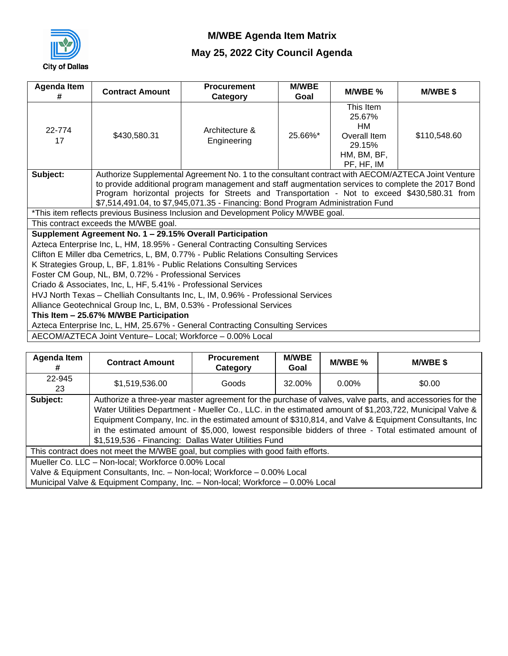

| Agenda Item<br>#                                                                                                                                                                                                                                                                                                                                                                                       | <b>Contract Amount</b>                                                                                                   | <b>Procurement</b><br>Category                                                      | <b>M/WBE</b><br>Goal | M/WBE %                                                                          | M/WBE\$      |  |  |
|--------------------------------------------------------------------------------------------------------------------------------------------------------------------------------------------------------------------------------------------------------------------------------------------------------------------------------------------------------------------------------------------------------|--------------------------------------------------------------------------------------------------------------------------|-------------------------------------------------------------------------------------|----------------------|----------------------------------------------------------------------------------|--------------|--|--|
| 22-774<br>17                                                                                                                                                                                                                                                                                                                                                                                           | \$430,580.31                                                                                                             | Architecture &<br>Engineering                                                       | 25.66%*              | This Item<br>25.67%<br>HM<br>Overall Item<br>29.15%<br>HM, BM, BF,<br>PF, HF, IM | \$110,548.60 |  |  |
| Authorize Supplemental Agreement No. 1 to the consultant contract with AECOM/AZTECA Joint Venture<br>Subject:<br>to provide additional program management and staff augmentation services to complete the 2017 Bond<br>Program horizontal projects for Streets and Transportation - Not to exceed \$430,580.31 from<br>\$7,514,491.04, to \$7,945,071.35 - Financing: Bond Program Administration Fund |                                                                                                                          |                                                                                     |                      |                                                                                  |              |  |  |
|                                                                                                                                                                                                                                                                                                                                                                                                        |                                                                                                                          | *This item reflects previous Business Inclusion and Development Policy M/WBE goal.  |                      |                                                                                  |              |  |  |
|                                                                                                                                                                                                                                                                                                                                                                                                        | This contract exceeds the M/WBE goal.                                                                                    |                                                                                     |                      |                                                                                  |              |  |  |
|                                                                                                                                                                                                                                                                                                                                                                                                        | Supplement Agreement No. 1 - 29.15% Overall Participation                                                                | Azteca Enterprise Inc, L, HM, 18.95% - General Contracting Consulting Services      |                      |                                                                                  |              |  |  |
|                                                                                                                                                                                                                                                                                                                                                                                                        |                                                                                                                          | Clifton E Miller dba Cemetrics, L, BM, 0.77% - Public Relations Consulting Services |                      |                                                                                  |              |  |  |
|                                                                                                                                                                                                                                                                                                                                                                                                        |                                                                                                                          | K Strategies Group, L, BF, 1.81% - Public Relations Consulting Services             |                      |                                                                                  |              |  |  |
|                                                                                                                                                                                                                                                                                                                                                                                                        | Foster CM Goup, NL, BM, 0.72% - Professional Services                                                                    |                                                                                     |                      |                                                                                  |              |  |  |
|                                                                                                                                                                                                                                                                                                                                                                                                        | Criado & Associates, Inc, L, HF, 5.41% - Professional Services                                                           |                                                                                     |                      |                                                                                  |              |  |  |
| HVJ North Texas - Chelliah Consultants Inc, L, IM, 0.96% - Professional Services                                                                                                                                                                                                                                                                                                                       |                                                                                                                          |                                                                                     |                      |                                                                                  |              |  |  |
| Alliance Geotechnical Group Inc, L, BM, 0.53% - Professional Services                                                                                                                                                                                                                                                                                                                                  |                                                                                                                          |                                                                                     |                      |                                                                                  |              |  |  |
|                                                                                                                                                                                                                                                                                                                                                                                                        | This Item - 25.67% M/WBE Participation<br>Azteca Enterprise Inc, L, HM, 25.67% - General Contracting Consulting Services |                                                                                     |                      |                                                                                  |              |  |  |
|                                                                                                                                                                                                                                                                                                                                                                                                        |                                                                                                                          | AECOM/AZTECA Joint Venture-Local; Workforce - 0.00% Local                           |                      |                                                                                  |              |  |  |

| Agenda Item  | <b>Contract Amount</b>                                                            | <b>Procurement</b><br>Category | <b>M/WBE</b><br>Goal | M/WBE %  | <b>M/WBE \$</b>                                                                                                                                                                                                                                                                                                                                                                                                                     |  |  |  |
|--------------|-----------------------------------------------------------------------------------|--------------------------------|----------------------|----------|-------------------------------------------------------------------------------------------------------------------------------------------------------------------------------------------------------------------------------------------------------------------------------------------------------------------------------------------------------------------------------------------------------------------------------------|--|--|--|
| 22-945<br>23 | \$1,519,536.00                                                                    | Goods                          | 32.00%               | $0.00\%$ | \$0.00                                                                                                                                                                                                                                                                                                                                                                                                                              |  |  |  |
| Subject:     | \$1,519,536 - Financing: Dallas Water Utilities Fund                              |                                |                      |          | Authorize a three-year master agreement for the purchase of valves, valve parts, and accessories for the<br>Water Utilities Department - Mueller Co., LLC. in the estimated amount of \$1,203,722, Municipal Valve &<br>Equipment Company, Inc. in the estimated amount of \$310,814, and Valve & Equipment Consultants, Inc<br>in the estimated amount of \$5,000, lowest responsible bidders of three - Total estimated amount of |  |  |  |
|              | This contract does not meet the M/WBE goal, but complies with good faith efforts. |                                |                      |          |                                                                                                                                                                                                                                                                                                                                                                                                                                     |  |  |  |
|              | Mueller Co. LLC - Non-local; Workforce 0.00% Local                                |                                |                      |          |                                                                                                                                                                                                                                                                                                                                                                                                                                     |  |  |  |
|              | Valve & Equipment Consultants, Inc. - Non-local; Workforce - 0.00% Local          |                                |                      |          |                                                                                                                                                                                                                                                                                                                                                                                                                                     |  |  |  |
|              | Municipal Valve & Equipment Company, Inc. - Non-local; Workforce - 0.00% Local    |                                |                      |          |                                                                                                                                                                                                                                                                                                                                                                                                                                     |  |  |  |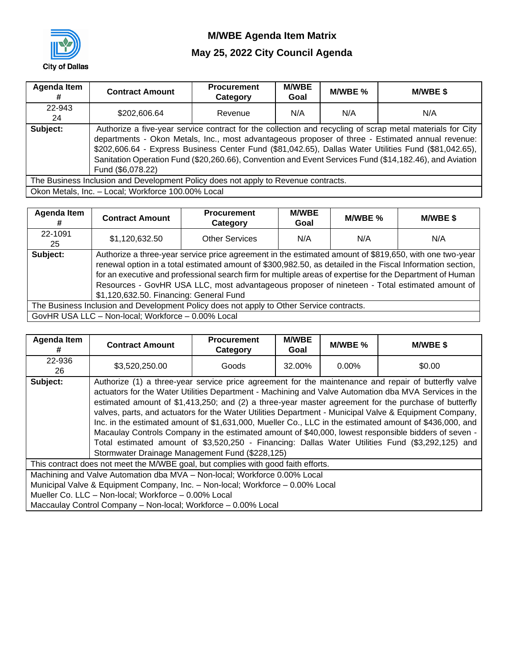

| Agenda Item  | <b>Contract Amount</b>                                                             | <b>Procurement</b><br>Category | <b>M/WBE</b><br>Goal | M/WBE % | M/WBE \$                                                                                                                                                                                                                                                                                                                                                                                                                          |
|--------------|------------------------------------------------------------------------------------|--------------------------------|----------------------|---------|-----------------------------------------------------------------------------------------------------------------------------------------------------------------------------------------------------------------------------------------------------------------------------------------------------------------------------------------------------------------------------------------------------------------------------------|
| 22-943<br>24 | \$202,606.64                                                                       | Revenue                        | N/A                  | N/A     | N/A                                                                                                                                                                                                                                                                                                                                                                                                                               |
| Subject:     | Fund (\$6,078.22)                                                                  |                                |                      |         | Authorize a five-year service contract for the collection and recycling of scrap metal materials for City<br>departments - Okon Metals, Inc., most advantageous proposer of three - Estimated annual revenue:<br>\$202,606.64 - Express Business Center Fund (\$81,042.65), Dallas Water Utilities Fund (\$81,042.65),<br>Sanitation Operation Fund (\$20,260.66), Convention and Event Services Fund (\$14,182.46), and Aviation |
|              | The Business Inclusion and Development Policy does not apply to Revenue contracts. |                                |                      |         |                                                                                                                                                                                                                                                                                                                                                                                                                                   |
|              | Okon Metals, Inc. - Local; Workforce 100.00% Local                                 |                                |                      |         |                                                                                                                                                                                                                                                                                                                                                                                                                                   |

| <b>Agenda Item</b> | <b>Contract Amount</b>                             | <b>Procurement</b><br>Category                                                                                                                                                                                                                                                                                                                                                                                                     | <b>M/WBE</b><br>Goal | $M/WEE$ % | <b>M/WBE \$</b> |
|--------------------|----------------------------------------------------|------------------------------------------------------------------------------------------------------------------------------------------------------------------------------------------------------------------------------------------------------------------------------------------------------------------------------------------------------------------------------------------------------------------------------------|----------------------|-----------|-----------------|
| 22-1091<br>25      | \$1,120,632.50                                     | <b>Other Services</b>                                                                                                                                                                                                                                                                                                                                                                                                              | N/A                  | N/A       | N/A             |
| Subject:           | \$1,120,632.50. Financing: General Fund            | Authorize a three-year service price agreement in the estimated amount of \$819,650, with one two-year<br>renewal option in a total estimated amount of \$300,982.50, as detailed in the Fiscal Information section,<br>for an executive and professional search firm for multiple areas of expertise for the Department of Human<br>Resources - GovHR USA LLC, most advantageous proposer of nineteen - Total estimated amount of |                      |           |                 |
|                    |                                                    | The Business Inclusion and Development Policy does not apply to Other Service contracts.                                                                                                                                                                                                                                                                                                                                           |                      |           |                 |
|                    | GovHR USA LLC - Non-local; Workforce - 0.00% Local |                                                                                                                                                                                                                                                                                                                                                                                                                                    |                      |           |                 |

| Agenda Item<br># | <b>Contract Amount</b>                                                            | <b>Procurement</b><br>Category | <b>M/WBE</b><br>Goal | M/WBE %  | M/WBE\$                                                                                                                                                                                                                                                                                                                                                                                                                                                                                                                                                                                                                                                                                                                                                |
|------------------|-----------------------------------------------------------------------------------|--------------------------------|----------------------|----------|--------------------------------------------------------------------------------------------------------------------------------------------------------------------------------------------------------------------------------------------------------------------------------------------------------------------------------------------------------------------------------------------------------------------------------------------------------------------------------------------------------------------------------------------------------------------------------------------------------------------------------------------------------------------------------------------------------------------------------------------------------|
| 22-936<br>26     | \$3,520,250.00                                                                    | Goods                          | 32.00%               | $0.00\%$ | \$0.00                                                                                                                                                                                                                                                                                                                                                                                                                                                                                                                                                                                                                                                                                                                                                 |
| Subject:         | Stormwater Drainage Management Fund (\$228,125)                                   |                                |                      |          | Authorize (1) a three-year service price agreement for the maintenance and repair of butterfly valve<br>actuators for the Water Utilities Department - Machining and Valve Automation dba MVA Services in the<br>estimated amount of \$1,413,250; and (2) a three-year master agreement for the purchase of butterfly<br>valves, parts, and actuators for the Water Utilities Department - Municipal Valve & Equipment Company,<br>Inc. in the estimated amount of \$1,631,000, Mueller Co., LLC in the estimated amount of \$436,000, and<br>Macaulay Controls Company in the estimated amount of \$40,000, lowest responsible bidders of seven -<br>Total estimated amount of \$3,520,250 - Financing: Dallas Water Utilities Fund (\$3,292,125) and |
|                  | This contract does not meet the M/WBE goal, but complies with good faith efforts. |                                |                      |          |                                                                                                                                                                                                                                                                                                                                                                                                                                                                                                                                                                                                                                                                                                                                                        |
|                  | Machining and Valve Automation dba MVA - Non-local; Workforce 0.00% Local         |                                |                      |          |                                                                                                                                                                                                                                                                                                                                                                                                                                                                                                                                                                                                                                                                                                                                                        |
|                  | Municipal Valve & Equipment Company, Inc. - Non-local; Workforce - 0.00% Local    |                                |                      |          |                                                                                                                                                                                                                                                                                                                                                                                                                                                                                                                                                                                                                                                                                                                                                        |
|                  | Mueller Co. LLC - Non-local; Workforce - 0.00% Local                              |                                |                      |          |                                                                                                                                                                                                                                                                                                                                                                                                                                                                                                                                                                                                                                                                                                                                                        |
|                  | Maccaulay Control Company - Non-local; Workforce - 0.00% Local                    |                                |                      |          |                                                                                                                                                                                                                                                                                                                                                                                                                                                                                                                                                                                                                                                                                                                                                        |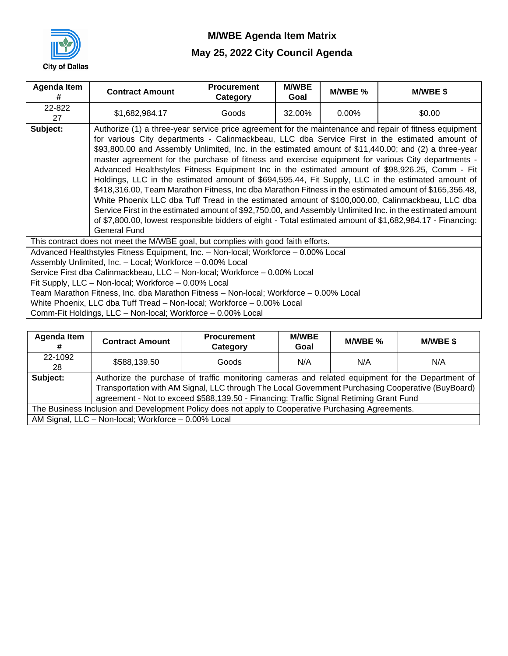

| Agenda Item<br># | <b>Contract Amount</b>                                                                                                                                                                                                                                                                                                                                                                                                           | <b>Procurement</b><br>Category                                                                                                                                                                                                                                                                                                                                                                                                                                                                                                                                                                                                                                                                                                                                                                                                                                                                                                                                                                                                                                          | <b>M/WBE</b><br>Goal | M/WBE %  | M/WBE\$ |  |  |
|------------------|----------------------------------------------------------------------------------------------------------------------------------------------------------------------------------------------------------------------------------------------------------------------------------------------------------------------------------------------------------------------------------------------------------------------------------|-------------------------------------------------------------------------------------------------------------------------------------------------------------------------------------------------------------------------------------------------------------------------------------------------------------------------------------------------------------------------------------------------------------------------------------------------------------------------------------------------------------------------------------------------------------------------------------------------------------------------------------------------------------------------------------------------------------------------------------------------------------------------------------------------------------------------------------------------------------------------------------------------------------------------------------------------------------------------------------------------------------------------------------------------------------------------|----------------------|----------|---------|--|--|
| 22-822<br>27     | \$1,682,984.17                                                                                                                                                                                                                                                                                                                                                                                                                   | Goods                                                                                                                                                                                                                                                                                                                                                                                                                                                                                                                                                                                                                                                                                                                                                                                                                                                                                                                                                                                                                                                                   | 32.00%               | $0.00\%$ | \$0.00  |  |  |
| Subject:         | <b>General Fund</b>                                                                                                                                                                                                                                                                                                                                                                                                              | Authorize (1) a three-year service price agreement for the maintenance and repair of fitness equipment<br>for various City departments - Calinmackbeau, LLC dba Service First in the estimated amount of<br>\$93,800.00 and Assembly Unlimited, Inc. in the estimated amount of \$11,440.00; and (2) a three-year<br>master agreement for the purchase of fitness and exercise equipment for various City departments -<br>Advanced Healthstyles Fitness Equipment Inc in the estimated amount of \$98,926.25, Comm - Fit<br>Holdings, LLC in the estimated amount of \$694,595.44, Fit Supply, LLC in the estimated amount of<br>\$418,316.00, Team Marathon Fitness, Inc dba Marathon Fitness in the estimated amount of \$165,356.48,<br>White Phoenix LLC dba Tuff Tread in the estimated amount of \$100,000.00, Calinmackbeau, LLC dba<br>Service First in the estimated amount of \$92,750.00, and Assembly Unlimited Inc. in the estimated amount<br>of \$7,800.00, lowest responsible bidders of eight - Total estimated amount of \$1,682,984.17 - Financing: |                      |          |         |  |  |
|                  | This contract does not meet the M/WBE goal, but complies with good faith efforts.<br>Advanced Healthstyles Fitness Equipment, Inc. - Non-local; Workforce - 0.00% Local                                                                                                                                                                                                                                                          |                                                                                                                                                                                                                                                                                                                                                                                                                                                                                                                                                                                                                                                                                                                                                                                                                                                                                                                                                                                                                                                                         |                      |          |         |  |  |
|                  | Assembly Unlimited, Inc. - Local; Workforce - 0.00% Local<br>Service First dba Calinmackbeau, LLC - Non-local; Workforce - 0.00% Local<br>Fit Supply, LLC - Non-local; Workforce - 0.00% Local<br>Team Marathon Fitness, Inc. dba Marathon Fitness - Non-local; Workforce - 0.00% Local<br>White Phoenix, LLC dba Tuff Tread - Non-local; Workforce - 0.00% Local<br>Comm-Fit Holdings, LLC - Non-local; Workforce - 0.00% Local |                                                                                                                                                                                                                                                                                                                                                                                                                                                                                                                                                                                                                                                                                                                                                                                                                                                                                                                                                                                                                                                                         |                      |          |         |  |  |

| Agenda Item   | <b>Contract Amount</b>                              | <b>Procurement</b><br>Category                                                                                                                                                                                                                                                                  | <b>M/WBE</b><br>Goal | M/WBE % | <b>M/WBE \$</b> |
|---------------|-----------------------------------------------------|-------------------------------------------------------------------------------------------------------------------------------------------------------------------------------------------------------------------------------------------------------------------------------------------------|----------------------|---------|-----------------|
| 22-1092<br>28 | \$588,139.50                                        | Goods                                                                                                                                                                                                                                                                                           | N/A                  | N/A     | N/A             |
| Subject:      |                                                     | Authorize the purchase of traffic monitoring cameras and related equipment for the Department of<br>Transportation with AM Signal, LLC through The Local Government Purchasing Cooperative (BuyBoard)<br>agreement - Not to exceed \$588,139.50 - Financing: Traffic Signal Retiming Grant Fund |                      |         |                 |
|               |                                                     | The Business Inclusion and Development Policy does not apply to Cooperative Purchasing Agreements.                                                                                                                                                                                              |                      |         |                 |
|               | AM Signal, LLC - Non-local; Workforce - 0.00% Local |                                                                                                                                                                                                                                                                                                 |                      |         |                 |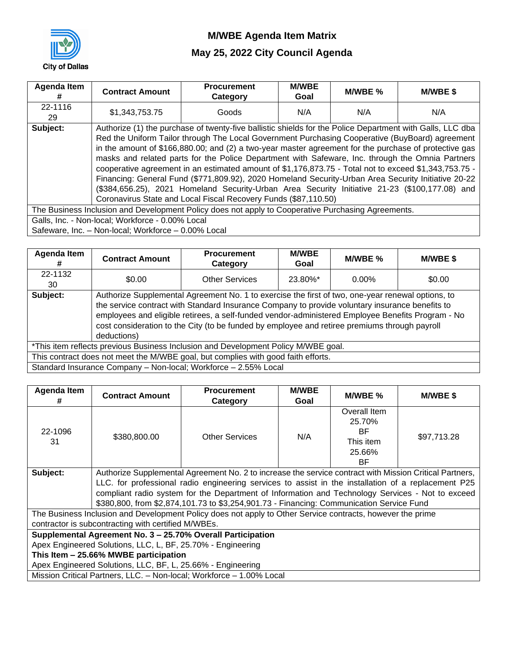

| <b>Agenda Item</b><br># | <b>Contract Amount</b>                              | <b>Procurement</b><br>Category                                                                                                                                                                               | <b>M/WBE</b><br>Goal | M/WBE % | M/WBE \$ |  |  |  |
|-------------------------|-----------------------------------------------------|--------------------------------------------------------------------------------------------------------------------------------------------------------------------------------------------------------------|----------------------|---------|----------|--|--|--|
| 22-1116<br>29           | \$1,343,753.75                                      | Goods                                                                                                                                                                                                        | N/A                  | N/A     | N/A      |  |  |  |
| Subject:                |                                                     | Authorize (1) the purchase of twenty-five ballistic shields for the Police Department with Galls, LLC dba                                                                                                    |                      |         |          |  |  |  |
|                         |                                                     | Red the Uniform Tailor through The Local Government Purchasing Cooperative (BuyBoard) agreement                                                                                                              |                      |         |          |  |  |  |
|                         |                                                     | in the amount of \$166,880.00; and (2) a two-year master agreement for the purchase of protective gas                                                                                                        |                      |         |          |  |  |  |
|                         |                                                     | masks and related parts for the Police Department with Safeware, Inc. through the Omnia Partners                                                                                                             |                      |         |          |  |  |  |
|                         |                                                     |                                                                                                                                                                                                              |                      |         |          |  |  |  |
|                         |                                                     | cooperative agreement in an estimated amount of \$1,176,873.75 - Total not to exceed \$1,343,753.75 -<br>Financing: General Fund (\$771,809.92), 2020 Homeland Security-Urban Area Security Initiative 20-22 |                      |         |          |  |  |  |
|                         |                                                     | (\$384,656.25), 2021 Homeland Security-Urban Area Security Initiative 21-23 (\$100,177.08) and                                                                                                               |                      |         |          |  |  |  |
|                         |                                                     | Coronavirus State and Local Fiscal Recovery Funds (\$87,110.50)                                                                                                                                              |                      |         |          |  |  |  |
|                         |                                                     | The Business Inclusion and Development Policy does not apply to Cooperative Purchasing Agreements.                                                                                                           |                      |         |          |  |  |  |
|                         | Galls, Inc. - Non-local; Workforce - 0.00% Local    |                                                                                                                                                                                                              |                      |         |          |  |  |  |
|                         | Safeware, Inc. - Non-local; Workforce - 0.00% Local |                                                                                                                                                                                                              |                      |         |          |  |  |  |

| Agenda Item<br># | <b>Contract Amount</b> | <b>Procurement</b><br>Category                                                                                                                                                                                                                                                                                                                                                                             | <b>M/WBE</b><br>Goal | M/WBE %  | <b>M/WBE \$</b> |
|------------------|------------------------|------------------------------------------------------------------------------------------------------------------------------------------------------------------------------------------------------------------------------------------------------------------------------------------------------------------------------------------------------------------------------------------------------------|----------------------|----------|-----------------|
| 22-1132<br>30    | \$0.00                 | <b>Other Services</b>                                                                                                                                                                                                                                                                                                                                                                                      | 23.80%*              | $0.00\%$ | \$0.00          |
| Subject:         | deductions)            | Authorize Supplemental Agreement No. 1 to exercise the first of two, one-year renewal options, to<br>the service contract with Standard Insurance Company to provide voluntary insurance benefits to<br>employees and eligible retirees, a self-funded vendor-administered Employee Benefits Program - No<br>cost consideration to the City (to be funded by employee and retiree premiums through payroll |                      |          |                 |
|                  |                        | *This item reflects previous Business Inclusion and Development Policy M/WBE goal.                                                                                                                                                                                                                                                                                                                         |                      |          |                 |
|                  |                        | This contract does not meet the M/WBE goal, but complies with good faith efforts.                                                                                                                                                                                                                                                                                                                          |                      |          |                 |
|                  |                        | Standard Insurance Company - Non-local; Workforce - 2.55% Local                                                                                                                                                                                                                                                                                                                                            |                      |          |                 |

| Agenda Item<br># | <b>Contract Amount</b>                                                                                  | <b>Procurement</b><br>Category                                                                             | <b>M/WBE</b><br>Goal | M/WBE %                                                   | <b>M/WBE \$</b> |  |  |
|------------------|---------------------------------------------------------------------------------------------------------|------------------------------------------------------------------------------------------------------------|----------------------|-----------------------------------------------------------|-----------------|--|--|
| 22-1096<br>31    | \$380,800.00                                                                                            | <b>Other Services</b>                                                                                      | N/A                  | Overall Item<br>25.70%<br>ВF<br>This item<br>25.66%<br>ВF | \$97,713.28     |  |  |
| Subject:         | Authorize Supplemental Agreement No. 2 to increase the service contract with Mission Critical Partners, |                                                                                                            |                      |                                                           |                 |  |  |
|                  |                                                                                                         | LLC. for professional radio engineering services to assist in the installation of a replacement P25        |                      |                                                           |                 |  |  |
|                  |                                                                                                         | compliant radio system for the Department of Information and Technology Services - Not to exceed           |                      |                                                           |                 |  |  |
|                  |                                                                                                         | \$380,800, from \$2,874,101.73 to \$3,254,901.73 - Financing: Communication Service Fund                   |                      |                                                           |                 |  |  |
|                  |                                                                                                         | The Business Inclusion and Development Policy does not apply to Other Service contracts, however the prime |                      |                                                           |                 |  |  |
|                  | contractor is subcontracting with certified M/WBEs.                                                     |                                                                                                            |                      |                                                           |                 |  |  |
|                  |                                                                                                         | Supplemental Agreement No. 3 - 25.70% Overall Participation                                                |                      |                                                           |                 |  |  |
|                  | Apex Engineered Solutions, LLC, L, BF, 25.70% - Engineering                                             |                                                                                                            |                      |                                                           |                 |  |  |
|                  | This Item - 25.66% MWBE participation                                                                   |                                                                                                            |                      |                                                           |                 |  |  |
|                  | Apex Engineered Solutions, LLC, BF, L, 25.66% - Engineering                                             |                                                                                                            |                      |                                                           |                 |  |  |
|                  |                                                                                                         | Mission Critical Partners, LLC. - Non-local; Workforce - 1.00% Local                                       |                      |                                                           |                 |  |  |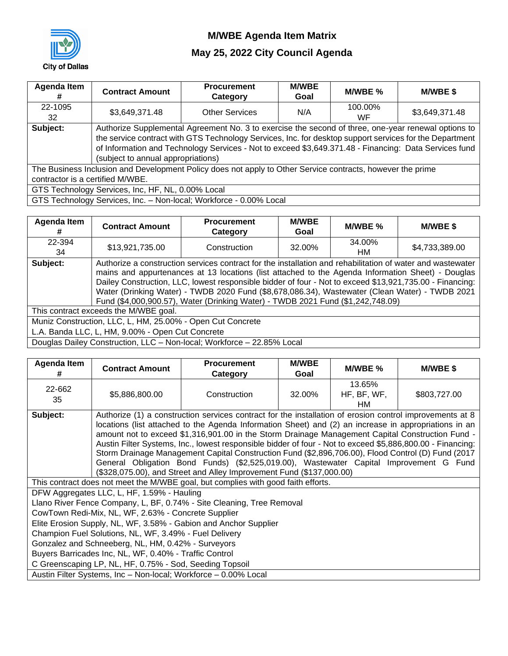

| Agenda Item<br>#                 | <b>Contract Amount</b>                            | <b>Procurement</b><br>Category                                                                             | <b>M/WBE</b><br>Goal | M/WBE %       | <b>M/WBE \$</b> |
|----------------------------------|---------------------------------------------------|------------------------------------------------------------------------------------------------------------|----------------------|---------------|-----------------|
| 22-1095<br>32                    | \$3,649,371.48                                    | <b>Other Services</b>                                                                                      | N/A                  | 100.00%<br>WF | \$3,649,371.48  |
| Subject:                         |                                                   | Authorize Supplemental Agreement No. 3 to exercise the second of three, one-year renewal options to        |                      |               |                 |
|                                  |                                                   | the service contract with GTS Technology Services, Inc. for desktop support services for the Department    |                      |               |                 |
|                                  |                                                   | of Information and Technology Services - Not to exceed \$3,649.371.48 - Financing: Data Services fund      |                      |               |                 |
|                                  | (subject to annual appropriations)                |                                                                                                            |                      |               |                 |
|                                  |                                                   | The Business Inclusion and Development Policy does not apply to Other Service contracts, however the prime |                      |               |                 |
| contractor is a certified M/WBE. |                                                   |                                                                                                            |                      |               |                 |
|                                  | GTS Technology Services, Inc, HF, NL, 0.00% Local |                                                                                                            |                      |               |                 |
|                                  |                                                   | GTS Technology Services, Inc. - Non-local; Workforce - 0.00% Local                                         |                      |               |                 |

| Agenda Item<br># | <b>Contract Amount</b>                                     | <b>Procurement</b><br>Category                                                                                                                                                                                                                                                                                                                                                                                                                                                                                   | <b>M/WBE</b><br>Goal | M/WBE %      | <b>M/WBE \$</b> |
|------------------|------------------------------------------------------------|------------------------------------------------------------------------------------------------------------------------------------------------------------------------------------------------------------------------------------------------------------------------------------------------------------------------------------------------------------------------------------------------------------------------------------------------------------------------------------------------------------------|----------------------|--------------|-----------------|
| 22-394<br>34     | \$13,921,735.00                                            | Construction                                                                                                                                                                                                                                                                                                                                                                                                                                                                                                     | 32.00%               | 34.00%<br>HM | \$4,733,389.00  |
| Subject:         |                                                            | Authorize a construction services contract for the installation and rehabilitation of water and wastewater<br>mains and appurtenances at 13 locations (list attached to the Agenda Information Sheet) - Douglas<br>Dailey Construction, LLC, lowest responsible bidder of four - Not to exceed \$13,921,735.00 - Financing:<br>Water (Drinking Water) - TWDB 2020 Fund (\$8,678,086.34), Wastewater (Clean Water) - TWDB 2021<br>Fund (\$4,000,900.57), Water (Drinking Water) - TWDB 2021 Fund (\$1,242,748.09) |                      |              |                 |
|                  | This contract exceeds the M/WBE goal.                      |                                                                                                                                                                                                                                                                                                                                                                                                                                                                                                                  |                      |              |                 |
|                  | Muniz Construction, LLC, L, HM, 25.00% - Open Cut Concrete |                                                                                                                                                                                                                                                                                                                                                                                                                                                                                                                  |                      |              |                 |
|                  | L.A. Banda LLC, L, HM, 9.00% - Open Cut Concrete           |                                                                                                                                                                                                                                                                                                                                                                                                                                                                                                                  |                      |              |                 |
|                  |                                                            | Douglas Dailey Construction, LLC - Non-local; Workforce - 22.85% Local                                                                                                                                                                                                                                                                                                                                                                                                                                           |                      |              |                 |

| Agenda Item<br># | <b>Contract Amount</b>                                                                                                                                                                                                                                                                   | <b>Procurement</b><br>Category                                                                                                                                                                                                                                                                                                                                                                                                                                                                                                                                                                                                                                                                              | <b>M/WBE</b><br>Goal | M/WBE %                     | <b>M/WBE \$</b> |  |
|------------------|------------------------------------------------------------------------------------------------------------------------------------------------------------------------------------------------------------------------------------------------------------------------------------------|-------------------------------------------------------------------------------------------------------------------------------------------------------------------------------------------------------------------------------------------------------------------------------------------------------------------------------------------------------------------------------------------------------------------------------------------------------------------------------------------------------------------------------------------------------------------------------------------------------------------------------------------------------------------------------------------------------------|----------------------|-----------------------------|-----------------|--|
| 22-662<br>35     | \$5,886,800.00                                                                                                                                                                                                                                                                           | Construction                                                                                                                                                                                                                                                                                                                                                                                                                                                                                                                                                                                                                                                                                                | 32.00%               | 13.65%<br>HF, BF, WF,<br>HМ | \$803,727.00    |  |
| Subject:         |                                                                                                                                                                                                                                                                                          | Authorize (1) a construction services contract for the installation of erosion control improvements at 8<br>locations (list attached to the Agenda Information Sheet) and (2) an increase in appropriations in an<br>amount not to exceed \$1,316,901.00 in the Storm Drainage Management Capital Construction Fund -<br>Austin Filter Systems, Inc., lowest responsible bidder of four - Not to exceed \$5,886,800.00 - Financing:<br>Storm Drainage Management Capital Construction Fund (\$2,896,706.00), Flood Control (D) Fund (2017<br>General Obligation Bond Funds) (\$2,525,019.00), Wastewater Capital Improvement G Fund<br>(\$328,075.00), and Street and Alley Improvement Fund (\$137,000.00) |                      |                             |                 |  |
|                  |                                                                                                                                                                                                                                                                                          | This contract does not meet the M/WBE goal, but complies with good faith efforts.                                                                                                                                                                                                                                                                                                                                                                                                                                                                                                                                                                                                                           |                      |                             |                 |  |
|                  | DFW Aggregates LLC, L, HF, 1.59% - Hauling                                                                                                                                                                                                                                               |                                                                                                                                                                                                                                                                                                                                                                                                                                                                                                                                                                                                                                                                                                             |                      |                             |                 |  |
|                  | CowTown Redi-Mix, NL, WF, 2.63% - Concrete Supplier<br>Champion Fuel Solutions, NL, WF, 3.49% - Fuel Delivery<br>Gonzalez and Schneeberg, NL, HM, 0.42% - Surveyors<br>Buyers Barricades Inc, NL, WF, 0.40% - Traffic Control<br>C Greenscaping LP, NL, HF, 0.75% - Sod, Seeding Topsoil | Llano River Fence Company, L, BF, 0.74% - Site Cleaning, Tree Removal<br>Elite Erosion Supply, NL, WF, 3.58% - Gabion and Anchor Supplier                                                                                                                                                                                                                                                                                                                                                                                                                                                                                                                                                                   |                      |                             |                 |  |
|                  | Austin Filter Systems, Inc - Non-local; Workforce - 0.00% Local                                                                                                                                                                                                                          |                                                                                                                                                                                                                                                                                                                                                                                                                                                                                                                                                                                                                                                                                                             |                      |                             |                 |  |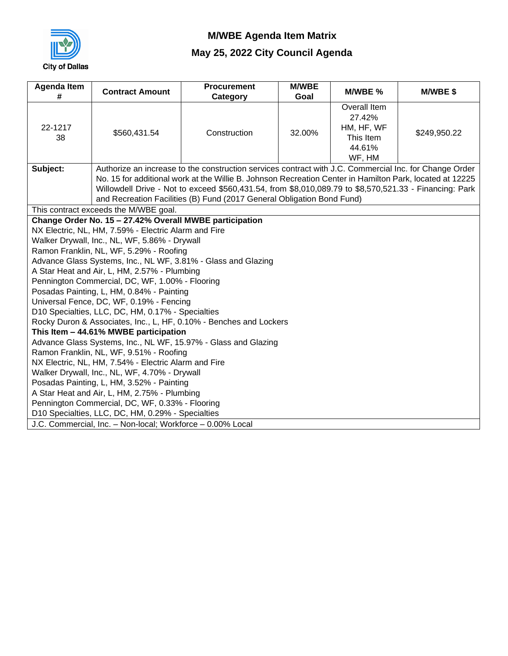

| <b>Agenda Item</b><br># | <b>Contract Amount</b>                                                                                          | <b>Procurement</b><br>Category                                                                                                                                                   | <b>M/WBE</b><br>Goal | M/WBE %                                                               | M/WBE\$      |  |  |
|-------------------------|-----------------------------------------------------------------------------------------------------------------|----------------------------------------------------------------------------------------------------------------------------------------------------------------------------------|----------------------|-----------------------------------------------------------------------|--------------|--|--|
| 22-1217<br>38           | \$560,431.54                                                                                                    | Construction                                                                                                                                                                     | 32.00%               | Overall Item<br>27.42%<br>HM, HF, WF<br>This Item<br>44.61%<br>WF, HM | \$249,950.22 |  |  |
| Subject:                |                                                                                                                 | Authorize an increase to the construction services contract with J.C. Commercial Inc. for Change Order                                                                           |                      |                                                                       |              |  |  |
|                         |                                                                                                                 | No. 15 for additional work at the Willie B. Johnson Recreation Center in Hamilton Park, located at 12225                                                                         |                      |                                                                       |              |  |  |
|                         |                                                                                                                 | Willowdell Drive - Not to exceed \$560,431.54, from \$8,010,089.79 to \$8,570,521.33 - Financing: Park<br>and Recreation Facilities (B) Fund (2017 General Obligation Bond Fund) |                      |                                                                       |              |  |  |
|                         | This contract exceeds the M/WBE goal.                                                                           |                                                                                                                                                                                  |                      |                                                                       |              |  |  |
|                         | Change Order No. 15 - 27.42% Overall MWBE participation                                                         |                                                                                                                                                                                  |                      |                                                                       |              |  |  |
|                         | NX Electric, NL, HM, 7.59% - Electric Alarm and Fire                                                            |                                                                                                                                                                                  |                      |                                                                       |              |  |  |
|                         | Walker Drywall, Inc., NL, WF, 5.86% - Drywall                                                                   |                                                                                                                                                                                  |                      |                                                                       |              |  |  |
|                         | Ramon Franklin, NL, WF, 5.29% - Roofing                                                                         |                                                                                                                                                                                  |                      |                                                                       |              |  |  |
|                         |                                                                                                                 | Advance Glass Systems, Inc., NL WF, 3.81% - Glass and Glazing                                                                                                                    |                      |                                                                       |              |  |  |
|                         | A Star Heat and Air, L, HM, 2.57% - Plumbing                                                                    |                                                                                                                                                                                  |                      |                                                                       |              |  |  |
|                         | Pennington Commercial, DC, WF, 1.00% - Flooring                                                                 |                                                                                                                                                                                  |                      |                                                                       |              |  |  |
|                         | Posadas Painting, L, HM, 0.84% - Painting                                                                       |                                                                                                                                                                                  |                      |                                                                       |              |  |  |
|                         | Universal Fence, DC, WF, 0.19% - Fencing<br>D10 Specialties, LLC, DC, HM, 0.17% - Specialties                   |                                                                                                                                                                                  |                      |                                                                       |              |  |  |
|                         |                                                                                                                 | Rocky Duron & Associates, Inc., L, HF, 0.10% - Benches and Lockers                                                                                                               |                      |                                                                       |              |  |  |
|                         | This Item - 44.61% MWBE participation                                                                           |                                                                                                                                                                                  |                      |                                                                       |              |  |  |
|                         |                                                                                                                 | Advance Glass Systems, Inc., NL WF, 15.97% - Glass and Glazing                                                                                                                   |                      |                                                                       |              |  |  |
|                         | Ramon Franklin, NL, WF, 9.51% - Roofing                                                                         |                                                                                                                                                                                  |                      |                                                                       |              |  |  |
|                         | NX Electric, NL, HM, 7.54% - Electric Alarm and Fire                                                            |                                                                                                                                                                                  |                      |                                                                       |              |  |  |
|                         | Walker Drywall, Inc., NL, WF, 4.70% - Drywall                                                                   |                                                                                                                                                                                  |                      |                                                                       |              |  |  |
|                         | Posadas Painting, L, HM, 3.52% - Painting                                                                       |                                                                                                                                                                                  |                      |                                                                       |              |  |  |
|                         | A Star Heat and Air, L, HM, 2.75% - Plumbing                                                                    |                                                                                                                                                                                  |                      |                                                                       |              |  |  |
|                         | Pennington Commercial, DC, WF, 0.33% - Flooring                                                                 |                                                                                                                                                                                  |                      |                                                                       |              |  |  |
|                         | D10 Specialties, LLC, DC, HM, 0.29% - Specialties<br>J.C. Commercial, Inc. - Non-local; Workforce - 0.00% Local |                                                                                                                                                                                  |                      |                                                                       |              |  |  |
|                         |                                                                                                                 |                                                                                                                                                                                  |                      |                                                                       |              |  |  |